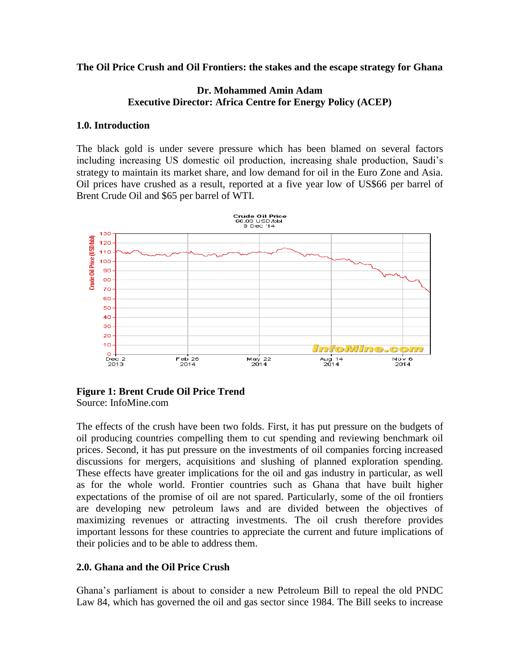**The Oil Price Crush and Oil Frontiers: the stakes and the escape strategy for Ghana**

## **Dr. Mohammed Amin Adam Executive Director: Africa Centre for Energy Policy (ACEP)**

#### **1.0. Introduction**

The black gold is under severe pressure which has been blamed on several factors including increasing US domestic oil production, increasing shale production, Saudi's strategy to maintain its market share, and low demand for oil in the Euro Zone and Asia. Oil prices have crushed as a result, reported at a five year low of US\$66 per barrel of Brent Crude Oil and \$65 per barrel of WTI.



#### **Figure 1: Brent Crude Oil Price Trend** Source: InfoMine.com

The effects of the crush have been two folds. First, it has put pressure on the budgets of oil producing countries compelling them to cut spending and reviewing benchmark oil prices. Second, it has put pressure on the investments of oil companies forcing increased discussions for mergers, acquisitions and slushing of planned exploration spending. These effects have greater implications for the oil and gas industry in particular, as well as for the whole world. Frontier countries such as Ghana that have built higher expectations of the promise of oil are not spared. Particularly, some of the oil frontiers are developing new petroleum laws and are divided between the objectives of maximizing revenues or attracting investments. The oil crush therefore provides important lessons for these countries to appreciate the current and future implications of their policies and to be able to address them.

# **2.0. Ghana and the Oil Price Crush**

Ghana's parliament is about to consider a new Petroleum Bill to repeal the old PNDC Law 84, which has governed the oil and gas sector since 1984. The Bill seeks to increase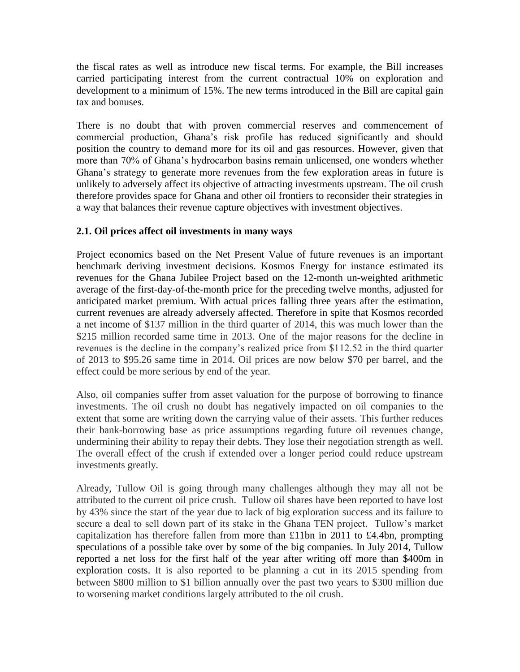the fiscal rates as well as introduce new fiscal terms. For example, the Bill increases carried participating interest from the current contractual 10% on exploration and development to a minimum of 15%. The new terms introduced in the Bill are capital gain tax and bonuses.

There is no doubt that with proven commercial reserves and commencement of commercial production, Ghana's risk profile has reduced significantly and should position the country to demand more for its oil and gas resources. However, given that more than 70% of Ghana's hydrocarbon basins remain unlicensed, one wonders whether Ghana's strategy to generate more revenues from the few exploration areas in future is unlikely to adversely affect its objective of attracting investments upstream. The oil crush therefore provides space for Ghana and other oil frontiers to reconsider their strategies in a way that balances their revenue capture objectives with investment objectives.

# **2.1. Oil prices affect oil investments in many ways**

Project economics based on the Net Present Value of future revenues is an important benchmark deriving investment decisions. Kosmos Energy for instance estimated its revenues for the Ghana Jubilee Project based on the 12-month un-weighted arithmetic average of the first-day-of-the-month price for the preceding twelve months, adjusted for anticipated market premium. With actual prices falling three years after the estimation, current revenues are already adversely affected. Therefore in spite that Kosmos recorded a net income of \$137 million in the third quarter of 2014, this was much lower than the \$215 million recorded same time in 2013. One of the major reasons for the decline in revenues is the decline in the company's realized price from \$112.52 in the third quarter of 2013 to \$95.26 same time in 2014. Oil prices are now below \$70 per barrel, and the effect could be more serious by end of the year.

Also, oil companies suffer from asset valuation for the purpose of borrowing to finance investments. The oil crush no doubt has negatively impacted on oil companies to the extent that some are writing down the carrying value of their assets. This further reduces their bank-borrowing base as price assumptions regarding future oil revenues change, undermining their ability to repay their debts. They lose their negotiation strength as well. The overall effect of the crush if extended over a longer period could reduce upstream investments greatly.

Already, Tullow Oil is going through many challenges although they may all not be attributed to the current oil price crush. Tullow oil shares have been reported to have lost by 43% since the start of the year due to lack of big exploration success and its failure to secure a deal to sell down part of its stake in the Ghana TEN project. Tullow's market capitalization has therefore fallen from more than £11bn in 2011 to £4.4bn, prompting speculations of a possible take over by some of the big companies. In July 2014, Tullow reported a net loss for the first half of the year after writing off more than [\\$400m in](http://www.ft.com/cms/s/0/d0e72914-17fd-11e4-b842-00144feabdc0.html?siteedition=uk)  [exploration costs.](http://www.ft.com/cms/s/0/d0e72914-17fd-11e4-b842-00144feabdc0.html?siteedition=uk) It is also reported to be planning a cut in its 2015 spending from between \$800 million to \$1 billion annually over the past two years to \$300 million due to worsening market conditions largely attributed to the oil crush.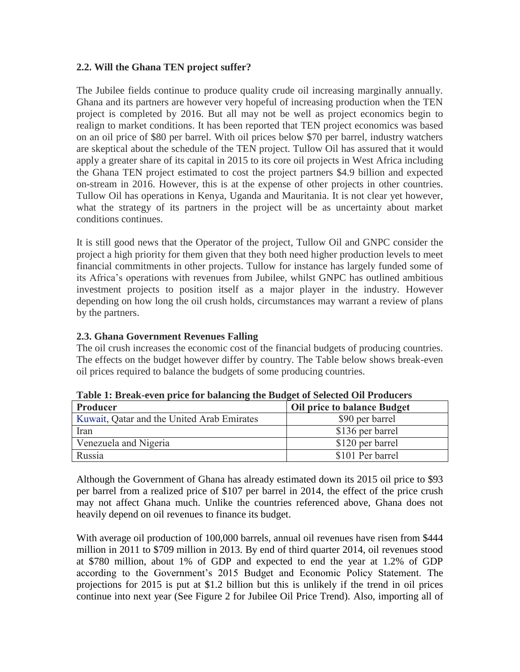## **2.2. Will the Ghana TEN project suffer?**

The Jubilee fields continue to produce quality crude oil increasing marginally annually. Ghana and its partners are however very hopeful of increasing production when the TEN project is completed by 2016. But all may not be well as project economics begin to realign to market conditions. It has been reported that TEN project economics was based on an oil price of \$80 per barrel. With oil prices below \$70 per barrel, industry watchers are skeptical about the schedule of the TEN project. Tullow Oil has assured that it would apply a greater share of its capital in 2015 to its core oil projects in West Africa including the Ghana TEN project estimated to cost the project partners \$4.9 billion and expected on-stream in 2016. However, this is at the expense of other projects in other countries. Tullow Oil has operations in Kenya, Uganda and Mauritania. It is not clear yet however, what the strategy of its partners in the project will be as uncertainty about market conditions continues.

It is still good news that the Operator of the project, Tullow Oil and GNPC consider the project a high priority for them given that they both need higher production levels to meet financial commitments in other projects. Tullow for instance has largely funded some of its Africa's operations with revenues from Jubilee, whilst GNPC has outlined ambitious investment projects to position itself as a major player in the industry. However depending on how long the oil crush holds, circumstances may warrant a review of plans by the partners.

## **2.3. Ghana Government Revenues Falling**

The oil crush increases the economic cost of the financial budgets of producing countries. The effects on the budget however differ by country. The Table below shows break-even oil prices required to balance the budgets of some producing countries.

| Producer                                   | <b>Oil price to balance Budget</b> |
|--------------------------------------------|------------------------------------|
| Kuwait, Qatar and the United Arab Emirates | \$90 per barrel                    |
| Iran                                       | \$136 per barrel                   |
| Venezuela and Nigeria                      | \$120 per barrel                   |
| Russia                                     | \$101 Per barrel                   |

**Table 1: Break-even price for balancing the Budget of Selected Oil Producers**

Although the Government of Ghana has already estimated down its 2015 oil price to \$93 per barrel from a realized price of \$107 per barrel in 2014, the effect of the price crush may not affect Ghana much. Unlike the countries referenced above, Ghana does not heavily depend on oil revenues to finance its budget.

With average oil production of 100,000 barrels, annual oil revenues have risen from \$444 million in 2011 to \$709 million in 2013. By end of third quarter 2014, oil revenues stood at \$780 million, about 1% of GDP and expected to end the year at 1.2% of GDP according to the Government's 2015 Budget and Economic Policy Statement. The projections for 2015 is put at \$1.2 billion but this is unlikely if the trend in oil prices continue into next year (See Figure 2 for Jubilee Oil Price Trend). Also, importing all of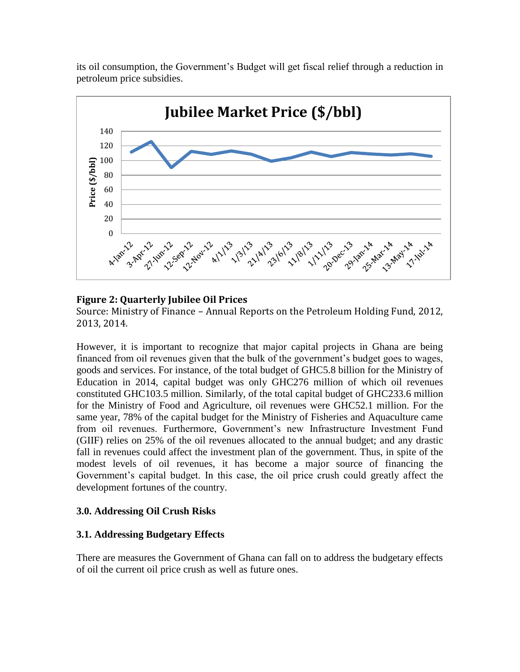its oil consumption, the Government's Budget will get fiscal relief through a reduction in petroleum price subsidies.



# **Figure 2: Quarterly Jubilee Oil Prices**

Source: Ministry of Finance – Annual Reports on the Petroleum Holding Fund, 2012, 2013, 2014.

However, it is important to recognize that major capital projects in Ghana are being financed from oil revenues given that the bulk of the government's budget goes to wages, goods and services. For instance, of the total budget of GHC5.8 billion for the Ministry of Education in 2014, capital budget was only GHC276 million of which oil revenues constituted GHC103.5 million. Similarly, of the total capital budget of GHC233.6 million for the Ministry of Food and Agriculture, oil revenues were GHC52.1 million. For the same year, 78% of the capital budget for the Ministry of Fisheries and Aquaculture came from oil revenues. Furthermore, Government's new Infrastructure Investment Fund (GIIF) relies on 25% of the oil revenues allocated to the annual budget; and any drastic fall in revenues could affect the investment plan of the government. Thus, in spite of the modest levels of oil revenues, it has become a major source of financing the Government's capital budget. In this case, the oil price crush could greatly affect the development fortunes of the country.

# **3.0. Addressing Oil Crush Risks**

# **3.1. Addressing Budgetary Effects**

There are measures the Government of Ghana can fall on to address the budgetary effects of oil the current oil price crush as well as future ones.